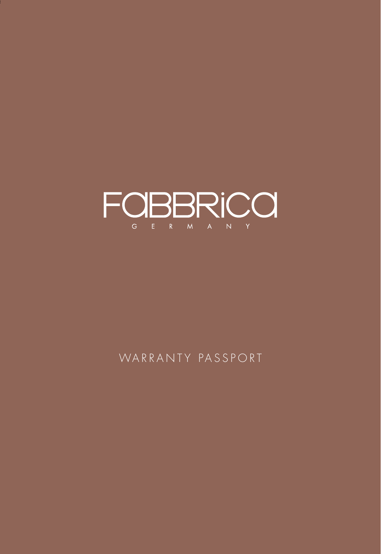

## WARRANTY PASSPORT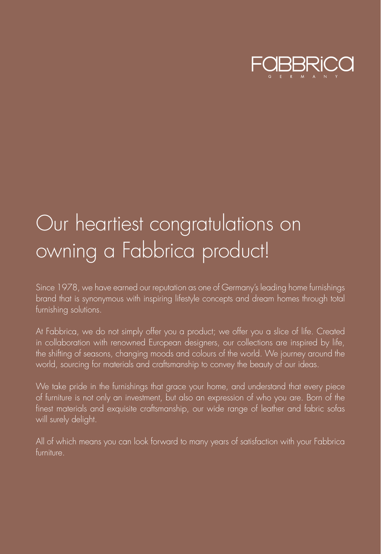

# Our heartiest congratulations on owning a Fabbrica product!

brand that is synonymous with inspiring lifestyle concepts and dream homes through total furnishing solutions.

At Fabbrica, we do not simply offer you a product; we offer you a slice of life. Created in collaboration with renowned European designers, our collections are inspired by life, the shifting of seasons, changing moods and colours of the world. We journey around the world, sourcing for materials and craftsmanship to convey the beauty of our ideas.

of furniture is not only an investment, but also an expression of who you are. Born of the finest materials and exquisite craftsmanship, our wide range of leather and fabric sofas will surely delight.

furniture.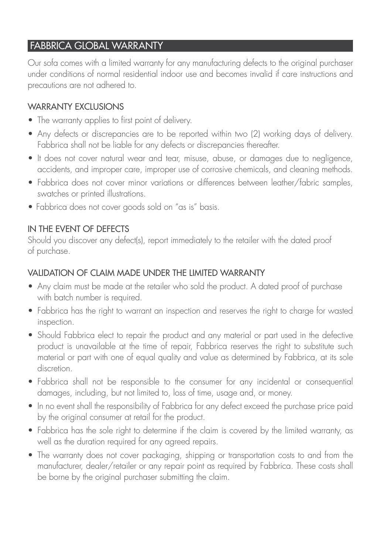#### FABBRICA GIOBAL WARRANTY

Our sofa comes with a limited warranty for any manufacturing defects to the original purchaser under conditions of normal residential indoor use and becomes invalid if care instructions and precautions are not adhered to.

#### WARRANTY FXCIUSIONS

- The warranty applies to first point of delivery.
- Any defects or discrepancies are to be reported within two (2) working days of delivery. Fabbrica shall not be liable for any defects or discrepancies thereafter.
- It does not cover natural wear and tear, misuse, abuse, or damages due to negligence, accidents, and improper care, improper use of corrosive chemicals, and cleaning methods.
- Fabbrica does not cover minor variations or differences between leather/fabric samples, swatches or printed illustrations.
- Fabbrica does not cover goods sold on "as is" basis.

#### IN THE EVENT OF DEFECTS

Should you discover any defect(s), report immediately to the retailer with the dated proof of purchase.

#### VALIDATION OF CLAIM MADE UNDER THE LIMITED WARRANTY

- Any claim must be made at the retailer who sold the product. A dated proof of purchase with batch number is required.
- Fabbrica has the right to warrant an inspection and reserves the right to charge for wasted inspection.
- Should Fabbrica elect to repair the product and any material or part used in the defective product is unavailable at the time of repair, Fabbrica reserves the right to substitute such material or part with one of equal quality and value as determined by Fabbrica, at its sole discretion.
- Fabbrica shall not be responsible to the consumer for any incidental or consequential damages, including, but not limited to, loss of time, usage and, or money.
- In no event shall the responsibility of Fabbrica for any defect exceed the purchase price paid by the original consumer at retail for the product.
- Fabbrica has the sole right to determine if the claim is covered by the limited warranty, as well as the duration required for any agreed repairs.
- The warranty does not cover packaging, shipping or transportation costs to and from the manufacturer, dealer/retailer or any repair point as required by Fabbrica. These costs shall be borne by the original purchaser submitting the claim.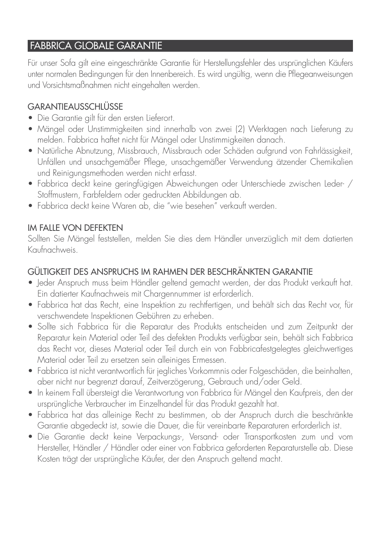## FABBRICA GLOBALE GARANTIE

Für unser Sofa gilt eine eingeschränkte Garantie für Herstellungsfehler des ursprünglichen Käufers unter normalen Bedingungen für den Innenbereich. Es wird ungültig, wenn die Pflegeanweisungen und Vorsichtsmaßnahmen nicht eingehalten werden.

## **GARANTIEAUSSCHLÜSSE**

- Die Garantie gilt für den ersten Lieferort.
- Mängel oder Unstimmigkeiten sind innerhalb von zwei (2) Werktagen nach Lieferung zu melden. Fabbrica haftet nicht für Mängel oder Unstimmigkeiten danach.
- Natürliche Abnutzung, Missbrauch, Missbrauch oder Schäden aufgrund von Fahrlässigkeit, Unfällen und unsachgemäßer Pflege, unsachgemäßer Verwendung ätzender Chemikalien und Reinigungsmethoden werden nicht erfasst.
- Fabbrica deckt keine geringfügigen Abweichungen oder Unterschiede zwischen Leder- / Stoffmustern, Farbfeldern oder gedruckten Abbildungen ab.
- Fabbrica deckt keine Waren ab, die "wie besehen" verkauft werden.

## IM FALLE VON DEFEKTEN

Sollten Sie Mängel feststellen, melden Sie dies dem Händler unverzüglich mit dem datierten Kaufnachweis.

#### GÜLTIGKEIT DES ANSPRUCHS IM RAHMEN DER BESCHRÄNKTEN GARANTIE

- Jeder Anspruch muss beim Händler geltend gemacht werden, der das Produkt verkauft hat. Ein datierter Kaufnachweis mit Chargennummer ist erforderlich.
- Fabbrica hat das Recht, eine Inspektion zu rechtfertigen, und behält sich das Recht vor, für verschwendete Inspektionen Gebühren zu erheben.
- Sollte sich Fabbrica für die Reparatur des Produkts entscheiden und zum Zeitpunkt der Reparatur kein Material oder Teil des defekten Produkts verfügbar sein, behält sich Fabbrica das Recht vor, dieses Material oder Teil durch ein von Fabbricafestgelegtes gleichwertiges Material oder Teil zu ersetzen sein alleiniges Ermessen.
- Fabbrica ist nicht verantwortlich für jegliches Vorkommnis oder Folgeschäden, die beinhalten, aber nicht nur begrenzt darauf, Zeitverzögerung, Gebrauch und/oder Geld.
- In keinem Fall übersteigt die Verantwortung von Fabbrica für Mängel den Kaufpreis, den der ursprüngliche Verbraucher im Einzelhandel für das Produkt gezahlt hat.
- Fabbrica hat das alleinige Recht zu bestimmen, ob der Anspruch durch die beschränkte Garantie abgedeckt ist, sowie die Dauer, die für vereinbarte Reparaturen erforderlich ist.
- Die Garantie deckt keine Verpackungs-, Versand- oder Transportkosten zum und vom Hersteller, Händler / Händler oder einer von Fabbrica geforderten Reparaturstelle ab. Diese Kosten trägt der ursprüngliche Käufer, der den Anspruch geltend macht.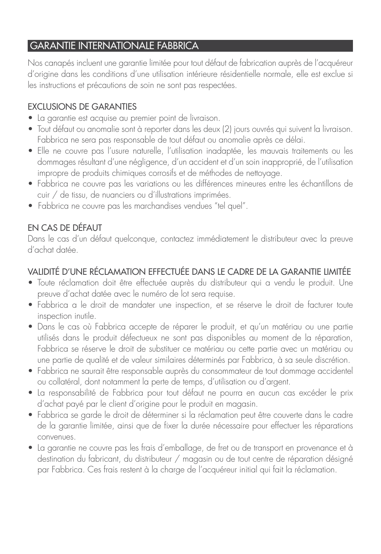## GARANTIE INTERNATIONALE FABBRICA

Nos canapés incluent une garantie limitée pour tout défaut de fabrication auprès de l'acquéreur d'origine dans les conditions d'une utilisation intérieure résidentielle normale, elle est exclue si les instructions et précautions de soin ne sont pas respectées.

#### EXCLUSIONS DE GARANTIES

- La garantie est acquise au premier point de livraison.
- Tout défaut ou anomalie sont à reporter dans les deux (2) jours ouvrés qui suivent la livraison. Fabbrica ne sera pas responsable de tout défaut ou anomalie après ce délai.
- Elle ne couvre pas l'usure naturelle, l'utilisation inadaptée, les mauvais traitements ou les dommages résultant d'une négligence, d'un accident et d'un soin inapproprié, de l'utilisation impropre de produits chimiques corrosifs et de méthodes de nettoyage.
- Fabbrica ne couvre pas les variations ou les différences mineures entre les échantillons de cuir / de tissu, de nuanciers ou d'illustrations imprimées.
- Fabbrica ne couvre pas les marchandises vendues "tel quel".

## EN CAS DE DÉFAUT

Dans le cas d'un défaut quelconque, contactez immédiatement le distributeur avec la preuve d'achat datée.

## VALIDITÉ D'UNE RÉCLAMATION EFFECTUÉE DANS LE CADRE DE LA GARANTIE LIMITÉE

- Toute réclamation doit être effectuée auprès du distributeur qui a vendu le produit. Une preuve d'achat datée avec le numéro de lot sera requise.
- Fabbrica a le droit de mandater une inspection, et se réserve le droit de facturer toute inspection inutile.
- Dans le cas où Fabbrica accepte de réparer le produit, et qu'un matériau ou une partie utilisés dans le produit défectueux ne sont pas disponibles au moment de la réparation, Fabbrica se réserve le droit de substituer ce matériau ou cette partie avec un matériau ou une partie de qualité et de valeur similaires déterminés par Fabbrica, à sa seule discrétion.
- Fabbrica ne saurait être responsable auprès du consommateur de tout dommage accidentel ou collatéral, dont notamment la perte de temps, d'utilisation ou d'argent.
- La responsabilité de Fabbrica pour tout défaut ne pourra en aucun cas excéder le prix d'achat payé par le client d'origine pour le produit en magasin.
- Fabbrica se garde le droit de déterminer si la réclamation peut être couverte dans le cadre de la garantie limitée, ainsi que de fixer la durée nécessaire pour effectuer les réparations convenues.
- La garantie ne couvre pas les frais d'emballage, de fret ou de transport en provenance et à destination du fabricant, du distributeur / magasin ou de tout centre de réparation désigné par Fabbrica. Ces frais restent à la charge de l'acquéreur initial qui fait la réclamation.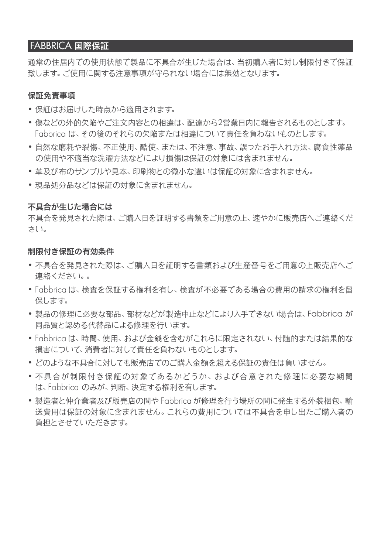#### FABBRICA 国際保証

通常の住居内での使用状態で製品に不具合が生じた場合は、当初購入者に対し制限付きで保証 致します。ご使用に関する注意事項が守られない場合には無効となります。

#### 保証免責事項

- • 保証はお届けした時点から適用されます。
- • 傷などの外的欠陥やご注文内容との相違は、配達から2営業日内に報告されるものとします。 Fabbrica は、その後のそれらの欠陥または相違について責任を負わないものとします。
- • 自然な磨耗や裂傷、不正使用、酷使、または、不注意、事故、誤ったお手入れ方法、腐食性薬品 の使用や不適当な洗濯方法などにより損傷は保証の対象には含まれません。
- • 革及び布のサンプルや見本、印刷物との微小な違いは保証の対象に含まれません。
- 現品処分品などは保証の対象に含まれません。

#### 不具合が生じた場合には

不具合を発見された際は、ご購入日を証明する書類をご用意の上、速やかに販売店へご連絡くだ さい。

#### 制限付き保証の有効条件

- • 不具合を発見された際は、ご購入日を証明する書類および生産番号をご用意の上販売店へご 連絡ください。。
- • Fabbrica は、検査を保証する権利を有し、検査が不必要である場合の費用の請求の権利を留 保します。
- 製品の修理に必要な部品、部材などが製造中止などにより入手できない場合は、Fabbrica が 同品質と認める代替品による修理を行います。
- • Fabbrica は、時間、使用、および金銭を含むがこれらに限定されない、付随的または結果的な 損害について、消費者に対して責任を負わないものとします。
- • どのような不具合に対しても販売店でのご購入金額を超える保証の責任は負いません。
- • 不具合が制限付き保証の対象であるかどうか、および合意された修理に必要な期間 は、Fabbrica のみが、判断、決定する権利を有します。
- • 製造者と仲介業者及び販売店の間や Fabbrica が修理を行う場所の間に発生する外装梱包、輸 送費用は保証の対象に含まれません。これらの費用については不具合を申し出たご購入者の 負担とさせていただきます。